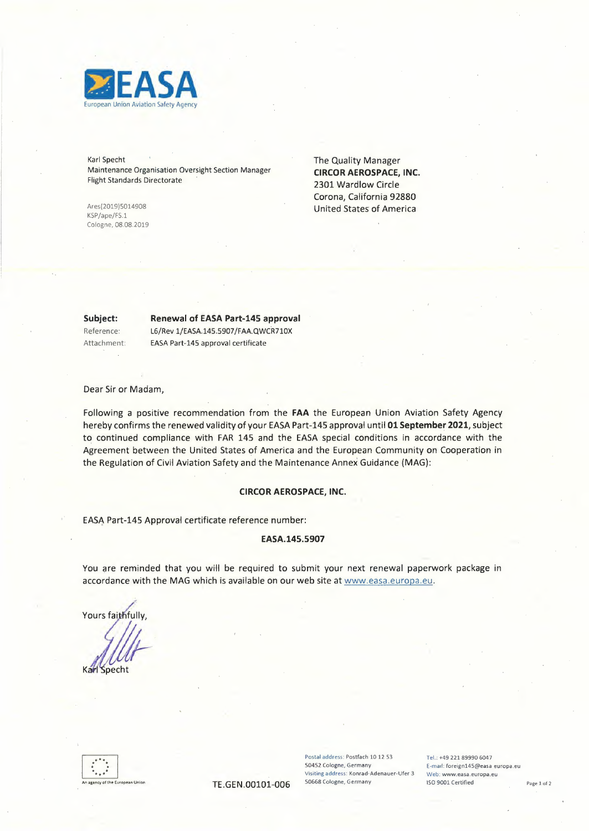

Karl Specht Maintenance Organisation Oversight Section Manager Flight Standards Directorate

Ares(2019)5014908 KSP/ape/FS.1 Cologne, 08.08.2019 The Quality Manager **CIRCOR AEROSPACE, INC.**  2301 Wardlow Circle Corona, California 92880 United States of America

**Subject:** 

## **Renewal of EASA Part-145 approval**

Reference: Attachment: L6/Rev 1/£ASA.145.5907/FAA.QWCR7 10X EASA Part-145 approval certificate

Dear Sir or Madam,

Following a positive recommendation from the **FAA** the European Union Aviation Safety Agency hereby confirms the renewed validity of your EASA Part-145 approval until **01 September 2021,** subject to continued compliance with FAR 145 and the EASA special conditions in accordance with the Agreement between the United States of America and the European Community on Cooperation in the Regulation of Civil Aviation Safety and the Maintenance Annex Guidance (MAG):

#### **CIRCOR AEROSPACE, INC.**

EASA Part-145 Approval certificate reference number:

### **EASA.145.5907**

You are reminded that you will be required to submit your next renewal paperwork package in accordance with the MAG which is available on our web site at www.easa.europa.eu.

EASA Part-145 Approval certificate r<br>You are reminded that you will be<br>accordance with the MAG which is a<br>Yours faithfully, Karl Specht



Postal address: Postfach 10 12 53 Tel.: +49 221 89990 6047<br>
S0452 Cologne, Germany Femal: foreign145@easa **Visiting address: Konrad-Adenauer-Ufer 3 Web: www.easa.europa.eu** 

E-mail: foreign145@easa europa.eu TE GEN.00101-006 50668 Cologne, Germany ISO 9001 Certified Page 1 of 2